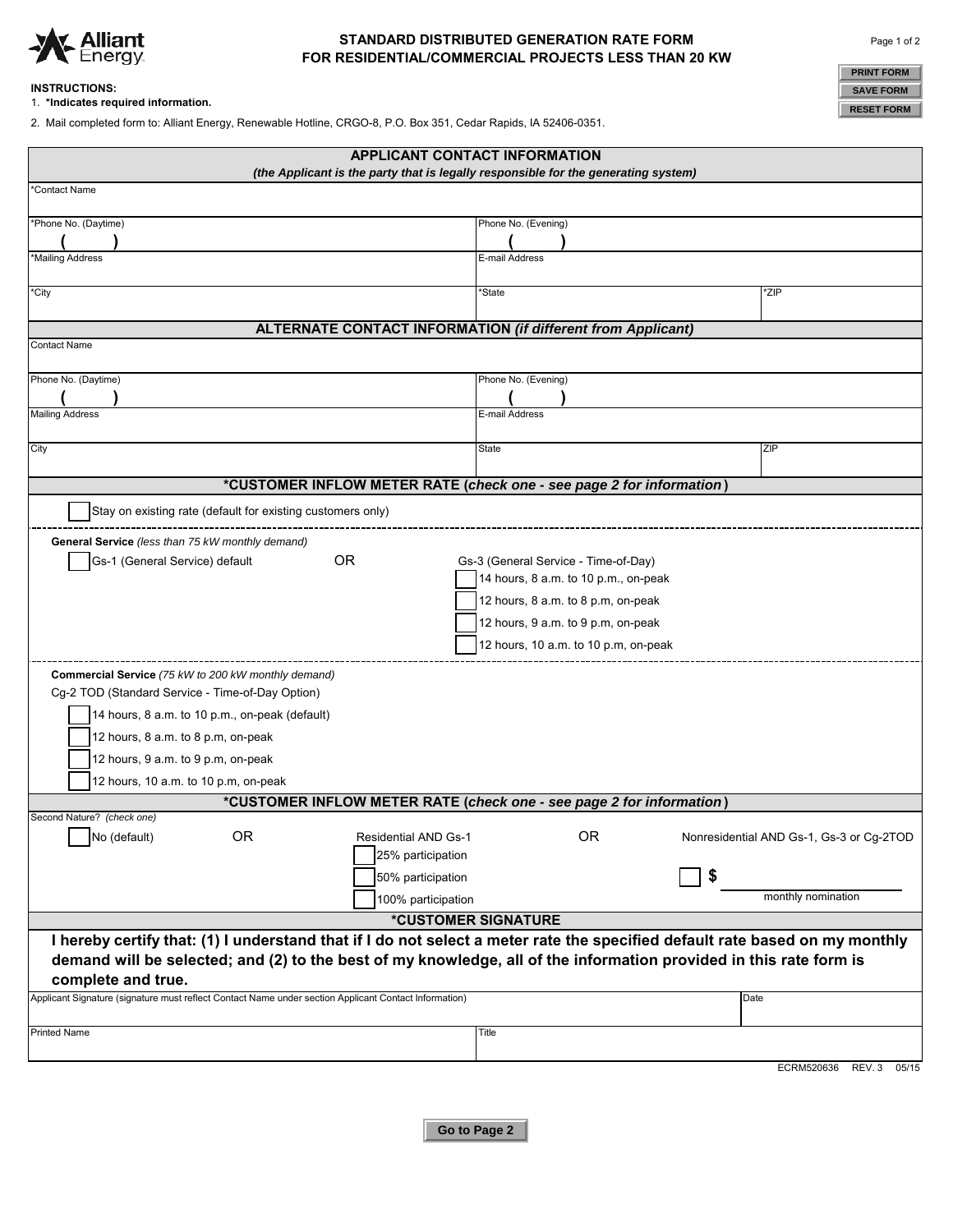

# **FOR RESIDENTIAL/COMMERCIAL PROJECTS LESS THAN 20 KW STANDARD DISTRIBUTED GENERATION RATE FORM**

#### **INSTRUCTIONS:**

1. **\*Indicates required information.**

2. Mail completed form to: Alliant Energy, Renewable Hotline, CRGO-8, P.O. Box 351, Cedar Rapids, IA 52406-0351.

| <b>PRINT FORM</b> |  |  |  |
|-------------------|--|--|--|
| <b>SAVE FORM</b>  |  |  |  |
| <b>RESET FORM</b> |  |  |  |

|                                                                                                                                                                                                                                                   | <b>APPLICANT CONTACT INFORMATION</b> |                                          |  |  |  |
|---------------------------------------------------------------------------------------------------------------------------------------------------------------------------------------------------------------------------------------------------|--------------------------------------|------------------------------------------|--|--|--|
| (the Applicant is the party that is legally responsible for the generating system)                                                                                                                                                                |                                      |                                          |  |  |  |
| *Contact Name                                                                                                                                                                                                                                     |                                      |                                          |  |  |  |
| *Phone No. (Daytime)                                                                                                                                                                                                                              | Phone No. (Evening)                  |                                          |  |  |  |
| *Mailing Address                                                                                                                                                                                                                                  | E-mail Address                       |                                          |  |  |  |
|                                                                                                                                                                                                                                                   |                                      |                                          |  |  |  |
| *City                                                                                                                                                                                                                                             | *State                               | *ZIP                                     |  |  |  |
| <b>ALTERNATE CONTACT INFORMATION (if different from Applicant)</b>                                                                                                                                                                                |                                      |                                          |  |  |  |
| <b>Contact Name</b>                                                                                                                                                                                                                               |                                      |                                          |  |  |  |
| Phone No. (Daytime)                                                                                                                                                                                                                               | Phone No. (Evening)                  |                                          |  |  |  |
|                                                                                                                                                                                                                                                   |                                      |                                          |  |  |  |
| <b>Mailing Address</b>                                                                                                                                                                                                                            | E-mail Address                       |                                          |  |  |  |
| City                                                                                                                                                                                                                                              | State                                | ZIP                                      |  |  |  |
|                                                                                                                                                                                                                                                   |                                      |                                          |  |  |  |
| *CUSTOMER INFLOW METER RATE (check one - see page 2 for information)                                                                                                                                                                              |                                      |                                          |  |  |  |
| Stay on existing rate (default for existing customers only)                                                                                                                                                                                       |                                      |                                          |  |  |  |
| General Service (less than 75 kW monthly demand)                                                                                                                                                                                                  |                                      |                                          |  |  |  |
| 0R<br>Gs-1 (General Service) default                                                                                                                                                                                                              | Gs-3 (General Service - Time-of-Day) |                                          |  |  |  |
|                                                                                                                                                                                                                                                   | 14 hours, 8 a.m. to 10 p.m., on-peak |                                          |  |  |  |
|                                                                                                                                                                                                                                                   | 12 hours, 8 a.m. to 8 p.m, on-peak   |                                          |  |  |  |
|                                                                                                                                                                                                                                                   | 12 hours, 9 a.m. to 9 p.m, on-peak   |                                          |  |  |  |
|                                                                                                                                                                                                                                                   | 12 hours, 10 a.m. to 10 p.m, on-peak |                                          |  |  |  |
| Commercial Service (75 kW to 200 kW monthly demand)                                                                                                                                                                                               |                                      |                                          |  |  |  |
| Cg-2 TOD (Standard Service - Time-of-Day Option)                                                                                                                                                                                                  |                                      |                                          |  |  |  |
| 14 hours, 8 a.m. to 10 p.m., on-peak (default)                                                                                                                                                                                                    |                                      |                                          |  |  |  |
| 12 hours, 8 a.m. to 8 p.m, on-peak                                                                                                                                                                                                                |                                      |                                          |  |  |  |
| 12 hours, 9 a.m. to 9 p.m, on-peak                                                                                                                                                                                                                |                                      |                                          |  |  |  |
| 12 hours, 10 a.m. to 10 p.m, on-peak<br>*CUSTOMER INFLOW METER RATE (check one - see page 2 for information)                                                                                                                                      |                                      |                                          |  |  |  |
| Second Nature? (check one)                                                                                                                                                                                                                        |                                      |                                          |  |  |  |
| $\n  No (default)$<br><b>OR</b><br><b>Residential AND Gs-1</b>                                                                                                                                                                                    | <b>OR</b>                            | Nonresidential AND Gs-1, Gs-3 or Cg-2TOD |  |  |  |
| 25% participation                                                                                                                                                                                                                                 |                                      |                                          |  |  |  |
| 50% participation                                                                                                                                                                                                                                 | \$                                   |                                          |  |  |  |
| 100% participation                                                                                                                                                                                                                                |                                      | monthly nomination                       |  |  |  |
| *CUSTOMER SIGNATURE                                                                                                                                                                                                                               |                                      |                                          |  |  |  |
| I hereby certify that: (1) I understand that if I do not select a meter rate the specified default rate based on my monthly<br>demand will be selected; and (2) to the best of my knowledge, all of the information provided in this rate form is |                                      |                                          |  |  |  |
| complete and true.                                                                                                                                                                                                                                |                                      |                                          |  |  |  |
| Applicant Signature (signature must reflect Contact Name under section Applicant Contact Information)                                                                                                                                             | Date                                 |                                          |  |  |  |
| <b>Printed Name</b>                                                                                                                                                                                                                               | Title                                |                                          |  |  |  |
|                                                                                                                                                                                                                                                   |                                      |                                          |  |  |  |
|                                                                                                                                                                                                                                                   |                                      | ECRM520636 REV. 3 05/15                  |  |  |  |

**Go to Page 2**